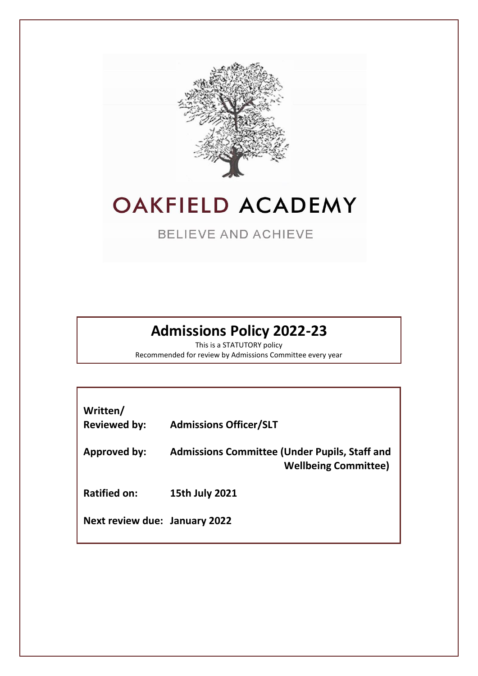

### **OAKFIELD ACADEMY**

**BELIEVE AND ACHIEVE** 

### **Admissions Policy 2022-23**

This is a STATUTORY policy Recommended for review by Admissions Committee every year

| Written/<br><b>Reviewed by:</b>      | <b>Admissions Officer/SLT</b>                                                       |
|--------------------------------------|-------------------------------------------------------------------------------------|
| Approved by:                         | <b>Admissions Committee (Under Pupils, Staff and</b><br><b>Wellbeing Committee)</b> |
| <b>Ratified on:</b>                  | 15th July 2021                                                                      |
| <b>Next review due: January 2022</b> |                                                                                     |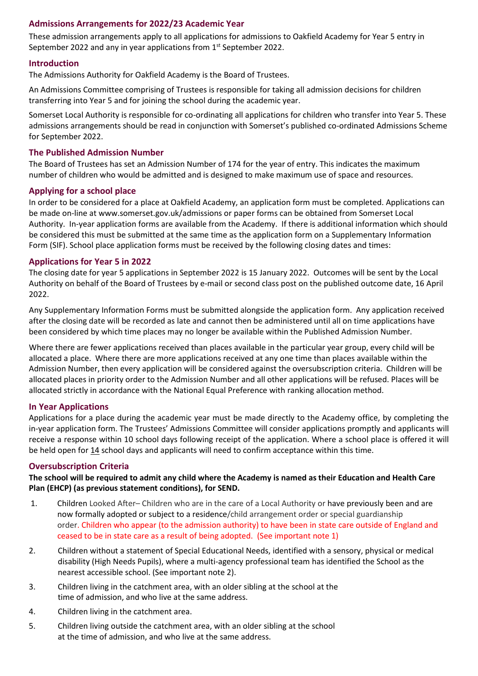#### **Admissions Arrangements for 2022/23 Academic Year**

These admission arrangements apply to all applications for admissions to Oakfield Academy for Year 5 entry in September 2022 and any in year applications from 1<sup>st</sup> September 2022.

#### **Introduction**

The Admissions Authority for Oakfield Academy is the Board of Trustees.

An Admissions Committee comprising of Trustees is responsible for taking all admission decisions for children transferring into Year 5 and for joining the school during the academic year.

Somerset Local Authority is responsible for co-ordinating all applications for children who transfer into Year 5. These admissions arrangements should be read in conjunction with Somerset's published co-ordinated Admissions Scheme for September 2022.

#### **The Published Admission Number**

The Board of Trustees has set an Admission Number of 174 for the year of entry. This indicates the maximum number of children who would be admitted and is designed to make maximum use of space and resources.

#### **Applying for a school place**

In order to be considered for a place at Oakfield Academy, an application form must be completed. Applications can be made on-line at www.somerset.gov.uk/admissions or paper forms can be obtained from Somerset Local Authority. In-year application forms are available from the Academy. If there is additional information which should be considered this must be submitted at the same time as the application form on a Supplementary Information Form (SIF). School place application forms must be received by the following closing dates and times:

#### **Applications for Year 5 in 2022**

The closing date for year 5 applications in September 2022 is 15 January 2022. Outcomes will be sent by the Local Authority on behalf of the Board of Trustees by e-mail or second class post on the published outcome date, 16 April 2022.

Any Supplementary Information Forms must be submitted alongside the application form. Any application received after the closing date will be recorded as late and cannot then be administered until all on time applications have been considered by which time places may no longer be available within the Published Admission Number.

Where there are fewer applications received than places available in the particular year group, every child will be allocated a place. Where there are more applications received at any one time than places available within the Admission Number, then every application will be considered against the oversubscription criteria. Children will be allocated places in priority order to the Admission Number and all other applications will be refused. Places will be allocated strictly in accordance with the National Equal Preference with ranking allocation method.

#### **In Year Applications**

Applications for a place during the academic year must be made directly to the Academy office, by completing the in-year application form. The Trustees' Admissions Committee will consider applications promptly and applicants will receive a response within 10 school days following receipt of the application. Where a school place is offered it will be held open for 14 school days and applicants will need to confirm acceptance within this time.

#### **Oversubscription Criteria**

**The school will be required to admit any child where the Academy is named as their Education and Health Care Plan (EHCP) (as previous statement conditions), for SEND.**

- 1. Children Looked After– Children who are in the care of a Local Authority or have previously been and are now formally adopted or subject to a residence/child arrangement order or special guardianship order. Children who appear (to the admission authority) to have been in state care outside of England and ceased to be in state care as a result of being adopted. (See important note 1)
- 2. Children without a statement of Special Educational Needs, identified with a sensory, physical or medical disability (High Needs Pupils), where a multi-agency professional team has identified the School as the nearest accessible school. (See important note 2).
- 3. Children living in the catchment area, with an older sibling at the school at the time of admission, and who live at the same address.
- 4. Children living in the catchment area.
- 5. Children living outside the catchment area, with an older sibling at the school at the time of admission, and who live at the same address.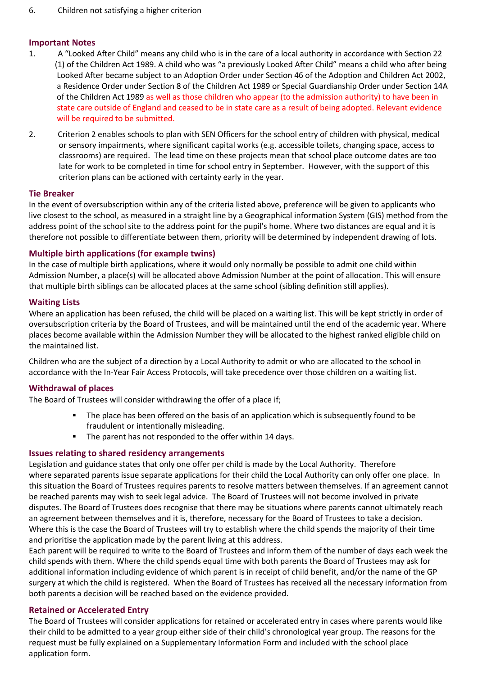#### **Important Notes**

- 1. A "Looked After Child" means any child who is in the care of a local authority in accordance with Section 22 (1) of the Children Act 1989. A child who was "a previously Looked After Child" means a child who after being Looked After became subject to an Adoption Order under Section 46 of the Adoption and Children Act 2002, a Residence Order under Section 8 of the Children Act 1989 or Special Guardianship Order under Section 14A of the Children Act 1989 as well as those children who appear (to the admission authority) to have been in state care outside of England and ceased to be in state care as a result of being adopted. Relevant evidence will be required to be submitted.
- 2. Criterion 2 enables schools to plan with SEN Officers for the school entry of children with physical, medical or sensory impairments, where significant capital works (e.g. accessible toilets, changing space, access to classrooms) are required. The lead time on these projects mean that school place outcome dates are too late for work to be completed in time for school entry in September. However, with the support of this criterion plans can be actioned with certainty early in the year.

#### **Tie Breaker**

In the event of oversubscription within any of the criteria listed above, preference will be given to applicants who live closest to the school, as measured in a straight line by a Geographical information System (GIS) method from the address point of the school site to the address point for the pupil's home. Where two distances are equal and it is therefore not possible to differentiate between them, priority will be determined by independent drawing of lots.

#### **Multiple birth applications (for example twins)**

In the case of multiple birth applications, where it would only normally be possible to admit one child within Admission Number, a place(s) will be allocated above Admission Number at the point of allocation. This will ensure that multiple birth siblings can be allocated places at the same school (sibling definition still applies).

#### **Waiting Lists**

Where an application has been refused, the child will be placed on a waiting list. This will be kept strictly in order of oversubscription criteria by the Board of Trustees, and will be maintained until the end of the academic year. Where places become available within the Admission Number they will be allocated to the highest ranked eligible child on the maintained list.

Children who are the subject of a direction by a Local Authority to admit or who are allocated to the school in accordance with the In-Year Fair Access Protocols, will take precedence over those children on a waiting list.

#### **Withdrawal of places**

The Board of Trustees will consider withdrawing the offer of a place if;

- **The place has been offered on the basis of an application which is subsequently found to be** fraudulent or intentionally misleading.
- The parent has not responded to the offer within 14 days.

#### **Issues relating to shared residency arrangements**

Legislation and guidance states that only one offer per child is made by the Local Authority. Therefore where separated parents issue separate applications for their child the Local Authority can only offer one place. In this situation the Board of Trustees requires parents to resolve matters between themselves. If an agreement cannot be reached parents may wish to seek legal advice. The Board of Trustees will not become involved in private disputes. The Board of Trustees does recognise that there may be situations where parents cannot ultimately reach an agreement between themselves and it is, therefore, necessary for the Board of Trustees to take a decision. Where this is the case the Board of Trustees will try to establish where the child spends the majority of their time and prioritise the application made by the parent living at this address.

Each parent will be required to write to the Board of Trustees and inform them of the number of days each week the child spends with them. Where the child spends equal time with both parents the Board of Trustees may ask for additional information including evidence of which parent is in receipt of child benefit, and/or the name of the GP surgery at which the child is registered. When the Board of Trustees has received all the necessary information from both parents a decision will be reached based on the evidence provided.

#### **Retained or Accelerated Entry**

The Board of Trustees will consider applications for retained or accelerated entry in cases where parents would like their child to be admitted to a year group either side of their child's chronological year group. The reasons for the request must be fully explained on a Supplementary Information Form and included with the school place application form.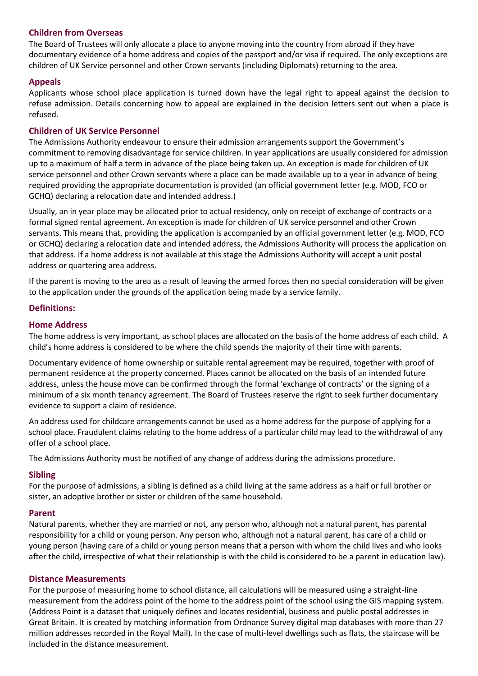#### **Children from Overseas**

The Board of Trustees will only allocate a place to anyone moving into the country from abroad if they have documentary evidence of a home address and copies of the passport and/or visa if required. The only exceptions are children of UK Service personnel and other Crown servants (including Diplomats) returning to the area.

#### **Appeals**

Applicants whose school place application is turned down have the legal right to appeal against the decision to refuse admission. Details concerning how to appeal are explained in the decision letters sent out when a place is refused.

#### **Children of UK Service Personnel**

The Admissions Authority endeavour to ensure their admission arrangements support the Government's commitment to removing disadvantage for service children. In year applications are usually considered for admission up to a maximum of half a term in advance of the place being taken up. An exception is made for children of UK service personnel and other Crown servants where a place can be made available up to a year in advance of being required providing the appropriate documentation is provided (an official government letter (e.g. MOD, FCO or GCHQ) declaring a relocation date and intended address.)

Usually, an in year place may be allocated prior to actual residency, only on receipt of exchange of contracts or a formal signed rental agreement. An exception is made for children of UK service personnel and other Crown servants. This means that, providing the application is accompanied by an official government letter (e.g. MOD, FCO or GCHQ) declaring a relocation date and intended address, the Admissions Authority will process the application on that address. If a home address is not available at this stage the Admissions Authority will accept a unit postal address or quartering area address.

If the parent is moving to the area as a result of leaving the armed forces then no special consideration will be given to the application under the grounds of the application being made by a service family.

#### **Definitions:**

#### **Home Address**

The home address is very important, as school places are allocated on the basis of the home address of each child. A child's home address is considered to be where the child spends the majority of their time with parents.

Documentary evidence of home ownership or suitable rental agreement may be required, together with proof of permanent residence at the property concerned. Places cannot be allocated on the basis of an intended future address, unless the house move can be confirmed through the formal 'exchange of contracts' or the signing of a minimum of a six month tenancy agreement. The Board of Trustees reserve the right to seek further documentary evidence to support a claim of residence.

An address used for childcare arrangements cannot be used as a home address for the purpose of applying for a school place. Fraudulent claims relating to the home address of a particular child may lead to the withdrawal of any offer of a school place.

The Admissions Authority must be notified of any change of address during the admissions procedure.

#### **Sibling**

For the purpose of admissions, a sibling is defined as a child living at the same address as a half or full brother or sister, an adoptive brother or sister or children of the same household.

#### **Parent**

Natural parents, whether they are married or not, any person who, although not a natural parent, has parental responsibility for a child or young person. Any person who, although not a natural parent, has care of a child or young person (having care of a child or young person means that a person with whom the child lives and who looks after the child, irrespective of what their relationship is with the child is considered to be a parent in education law).

#### **Distance Measurements**

For the purpose of measuring home to school distance, all calculations will be measured using a straight-line measurement from the address point of the home to the address point of the school using the GIS mapping system. (Address Point is a dataset that uniquely defines and locates residential, business and public postal addresses in Great Britain. It is created by matching information from Ordnance Survey digital map databases with more than 27 million addresses recorded in the Royal Mail). In the case of multi-level dwellings such as flats, the staircase will be included in the distance measurement.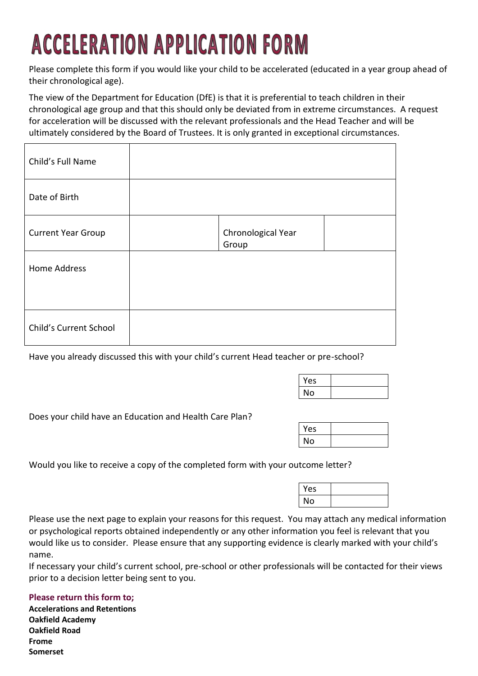# **ACCELERATION APPLICATION FORM**

Please complete this form if you would like your child to be accelerated (educated in a year group ahead of their chronological age).

The view of the Department for Education (DfE) is that it is preferential to teach children in their chronological age group and that this should only be deviated from in extreme circumstances. A request for acceleration will be discussed with the relevant professionals and the Head Teacher and will be ultimately considered by the Board of Trustees. It is only granted in exceptional circumstances.

| Child's Full Name         |                             |  |
|---------------------------|-----------------------------|--|
| Date of Birth             |                             |  |
| <b>Current Year Group</b> | Chronological Year<br>Group |  |
| Home Address              |                             |  |
|                           |                             |  |
| Child's Current School    |                             |  |

Have you already discussed this with your child's current Head teacher or pre-school?

| Yes |  |
|-----|--|
| No  |  |

Does your child have an Education and Health Care Plan?

| Yes |  |
|-----|--|
| No  |  |

Would you like to receive a copy of the completed form with your outcome letter?

| Yes |  |
|-----|--|
| N٥  |  |

Please use the next page to explain your reasons for this request. You may attach any medical information or psychological reports obtained independently or any other information you feel is relevant that you would like us to consider. Please ensure that any supporting evidence is clearly marked with your child's name.

If necessary your child's current school, pre-school or other professionals will be contacted for their views prior to a decision letter being sent to you.

#### **Please return this form to;**

**Accelerations and Retentions Oakfield Academy Oakfield Road Frome Somerset**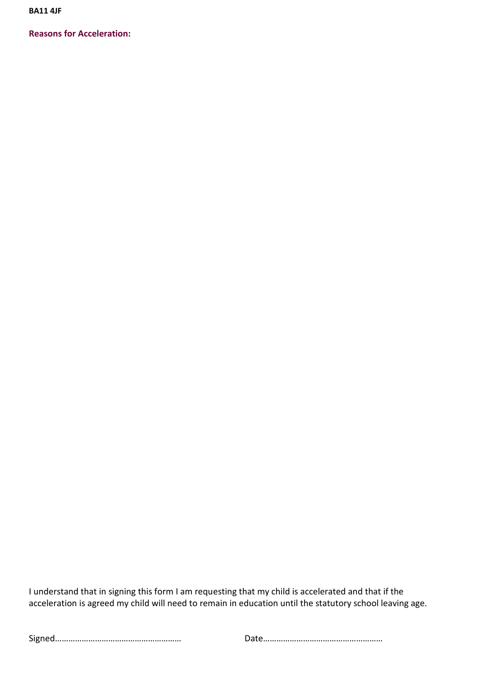**BA11 4JF**

**Reasons for Acceleration:**

I understand that in signing this form I am requesting that my child is accelerated and that if the acceleration is agreed my child will need to remain in education until the statutory school leaving age.

Signed………………………………………………… Date………………………………………………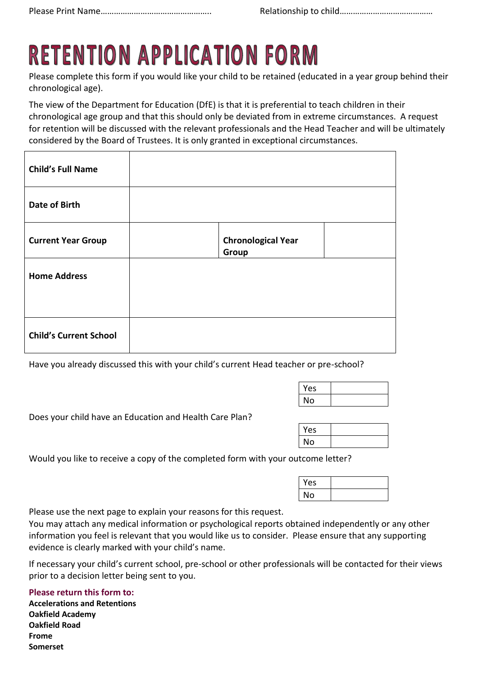## **RETENTION APPLICATION FORM**

Please complete this form if you would like your child to be retained (educated in a year group behind their chronological age).

The view of the Department for Education (DfE) is that it is preferential to teach children in their chronological age group and that this should only be deviated from in extreme circumstances. A request for retention will be discussed with the relevant professionals and the Head Teacher and will be ultimately considered by the Board of Trustees. It is only granted in exceptional circumstances.

| <b>Child's Full Name</b>      |                                    |  |
|-------------------------------|------------------------------------|--|
| <b>Date of Birth</b>          |                                    |  |
| <b>Current Year Group</b>     | <b>Chronological Year</b><br>Group |  |
| <b>Home Address</b>           |                                    |  |
|                               |                                    |  |
| <b>Child's Current School</b> |                                    |  |

Have you already discussed this with your child's current Head teacher or pre-school?

| Yes |  |
|-----|--|
| No  |  |

Does your child have an Education and Health Care Plan?

| Yes |  |
|-----|--|
| ٩о  |  |

Would you like to receive a copy of the completed form with your outcome letter?

| Yes |  |
|-----|--|
| No  |  |

Please use the next page to explain your reasons for this request.

You may attach any medical information or psychological reports obtained independently or any other information you feel is relevant that you would like us to consider. Please ensure that any supporting evidence is clearly marked with your child's name.

If necessary your child's current school, pre-school or other professionals will be contacted for their views prior to a decision letter being sent to you.

**Please return this form to:**

**Accelerations and Retentions Oakfield Academy Oakfield Road Frome Somerset**